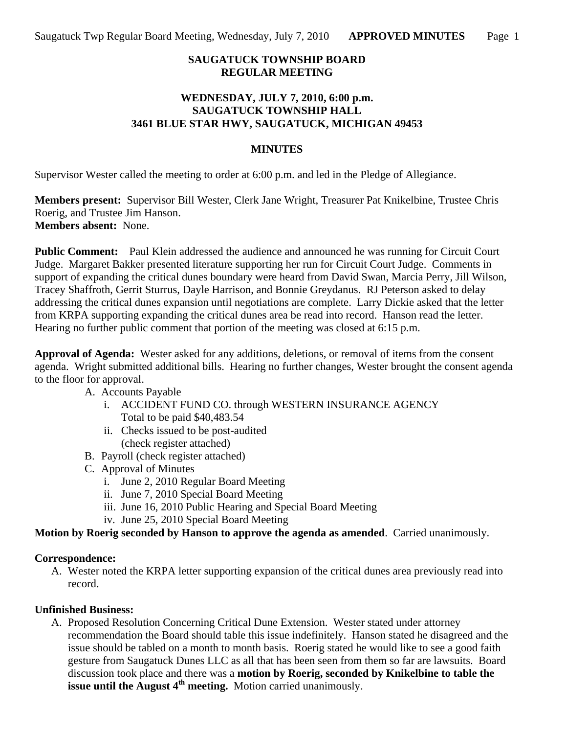## **SAUGATUCK TOWNSHIP BOARD REGULAR MEETING**

## **WEDNESDAY, JULY 7, 2010, 6:00 p.m. SAUGATUCK TOWNSHIP HALL 3461 BLUE STAR HWY, SAUGATUCK, MICHIGAN 49453**

#### **MINUTES**

Supervisor Wester called the meeting to order at 6:00 p.m. and led in the Pledge of Allegiance.

**Members present:** Supervisor Bill Wester, Clerk Jane Wright, Treasurer Pat Knikelbine, Trustee Chris Roerig, and Trustee Jim Hanson. **Members absent:** None.

**Public Comment:** Paul Klein addressed the audience and announced he was running for Circuit Court Judge. Margaret Bakker presented literature supporting her run for Circuit Court Judge. Comments in support of expanding the critical dunes boundary were heard from David Swan, Marcia Perry, Jill Wilson, Tracey Shaffroth, Gerrit Sturrus, Dayle Harrison, and Bonnie Greydanus. RJ Peterson asked to delay addressing the critical dunes expansion until negotiations are complete. Larry Dickie asked that the letter from KRPA supporting expanding the critical dunes area be read into record. Hanson read the letter. Hearing no further public comment that portion of the meeting was closed at 6:15 p.m.

**Approval of Agenda:** Wester asked for any additions, deletions, or removal of items from the consent agenda. Wright submitted additional bills. Hearing no further changes, Wester brought the consent agenda to the floor for approval.

- A. Accounts Payable
	- i. ACCIDENT FUND CO. through WESTERN INSURANCE AGENCY Total to be paid \$40,483.54
	- ii. Checks issued to be post-audited (check register attached)
- B. Payroll (check register attached)
- C. Approval of Minutes
	- i. June 2, 2010 Regular Board Meeting
	- ii. June 7, 2010 Special Board Meeting
	- iii. June 16, 2010 Public Hearing and Special Board Meeting
	- iv. June 25, 2010 Special Board Meeting

**Motion by Roerig seconded by Hanson to approve the agenda as amended**. Carried unanimously.

### **Correspondence:**

A. Wester noted the KRPA letter supporting expansion of the critical dunes area previously read into record.

### **Unfinished Business:**

A. Proposed Resolution Concerning Critical Dune Extension. Wester stated under attorney recommendation the Board should table this issue indefinitely. Hanson stated he disagreed and the issue should be tabled on a month to month basis. Roerig stated he would like to see a good faith gesture from Saugatuck Dunes LLC as all that has been seen from them so far are lawsuits. Board discussion took place and there was a **motion by Roerig, seconded by Knikelbine to table the issue until the August 4<sup>th</sup> meeting.** Motion carried unanimously.